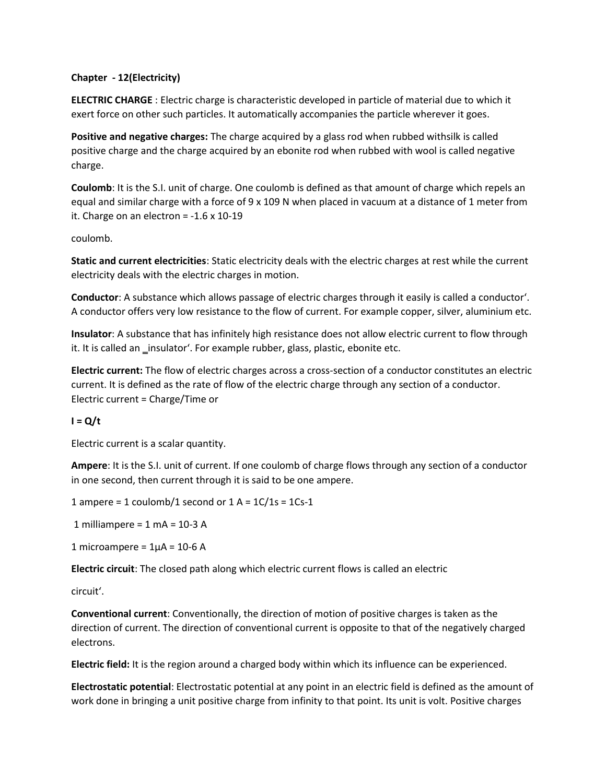## **Chapter - 12(Electricity)**

**ELECTRIC CHARGE** : Electric charge is characteristic developed in particle of material due to which it exert force on other such particles. It automatically accompanies the particle wherever it goes.

**Positive and negative charges:** The charge acquired by a glass rod when rubbed withsilk is called positive charge and the charge acquired by an ebonite rod when rubbed with wool is called negative charge.

**Coulomb**: It is the S.I. unit of charge. One coulomb is defined as that amount of charge which repels an equal and similar charge with a force of 9 x 109 N when placed in vacuum at a distance of 1 meter from it. Charge on an electron =  $-1.6 \times 10-19$ 

coulomb.

**Static and current electricities**: Static electricity deals with the electric charges at rest while the current electricity deals with the electric charges in motion.

**Conductor**: A substance which allows passage of electric charges through it easily is called a conductor'. A conductor offers very low resistance to the flow of current. For example copper, silver, aluminium etc.

**Insulator**: A substance that has infinitely high resistance does not allow electric current to flow through it. It is called an \_insulator'. For example rubber, glass, plastic, ebonite etc.

**Electric current:** The flow of electric charges across a cross-section of a conductor constitutes an electric current. It is defined as the rate of flow of the electric charge through any section of a conductor. Electric current = Charge/Time or

## $I = Q/t$

Electric current is a scalar quantity.

**Ampere**: It is the S.I. unit of current. If one coulomb of charge flows through any section of a conductor in one second, then current through it is said to be one ampere.

1 ampere = 1 coulomb/1 second or  $1 A = 1 C/1s = 1Cs - 1$ 

1 milliampere =  $1$  mA =  $10-3$  A

1 microampere =  $1\mu$ A = 10-6 A

**Electric circuit**: The closed path along which electric current flows is called an electric

circuit'.

**Conventional current**: Conventionally, the direction of motion of positive charges is taken as the direction of current. The direction of conventional current is opposite to that of the negatively charged electrons.

**Electric field:** It is the region around a charged body within which its influence can be experienced.

**Electrostatic potential**: Electrostatic potential at any point in an electric field is defined as the amount of work done in bringing a unit positive charge from infinity to that point. Its unit is volt. Positive charges